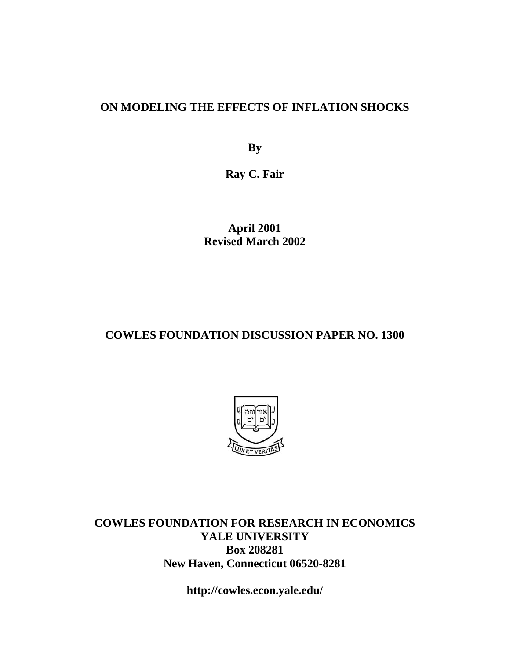#### **ON MODELING THE EFFECTS OF INFLATION SHOCKS**

**By** 

**Ray C. Fair** 

**April 2001 Revised March 2002** 

#### **COWLES FOUNDATION DISCUSSION PAPER NO. 1300**



**COWLES FOUNDATION FOR RESEARCH IN ECONOMICS YALE UNIVERSITY Box 208281 New Haven, Connecticut 06520-8281** 

**http://cowles.econ.yale.edu/**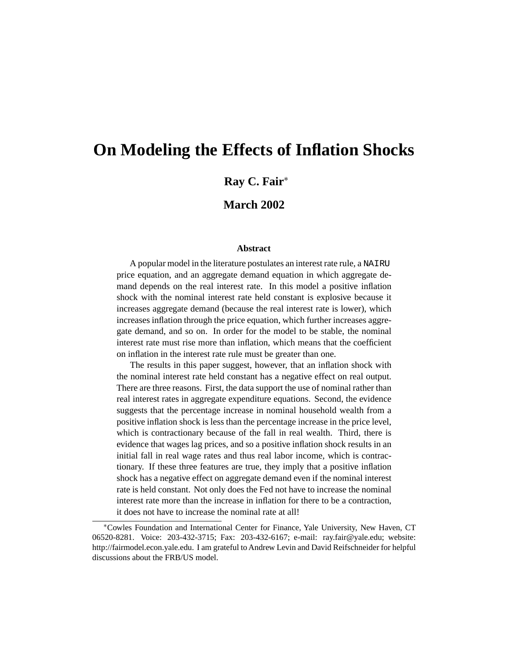# **On Modeling the Effects of Inflation Shocks**

**Ray C. Fair**<sup>∗</sup>

**March 2002**

#### **Abstract**

A popular model in the literature postulates an interest rate rule, a NAIRU price equation, and an aggregate demand equation in which aggregate demand depends on the real interest rate. In this model a positive inflation shock with the nominal interest rate held constant is explosive because it increases aggregate demand (because the real interest rate is lower), which increases inflation through the price equation, which further increases aggregate demand, and so on. In order for the model to be stable, the nominal interest rate must rise more than inflation, which means that the coefficient on inflation in the interest rate rule must be greater than one.

The results in this paper suggest, however, that an inflation shock with the nominal interest rate held constant has a negative effect on real output. There are three reasons. First, the data support the use of nominal rather than real interest rates in aggregate expenditure equations. Second, the evidence suggests that the percentage increase in nominal household wealth from a positive inflation shock is less than the percentage increase in the price level, which is contractionary because of the fall in real wealth. Third, there is evidence that wages lag prices, and so a positive inflation shock results in an initial fall in real wage rates and thus real labor income, which is contractionary. If these three features are true, they imply that a positive inflation shock has a negative effect on aggregate demand even if the nominal interest rate is held constant. Not only does the Fed not have to increase the nominal interest rate more than the increase in inflation for there to be a contraction, it does not have to increase the nominal rate at all!

<sup>∗</sup>Cowles Foundation and International Center for Finance, Yale University, New Haven, CT 06520-8281. Voice: 203-432-3715; Fax: 203-432-6167; e-mail: ray.fair@yale.edu; website: http://fairmodel.econ.yale.edu. I am grateful to Andrew Levin and David Reifschneider for helpful discussions about the FRB/US model.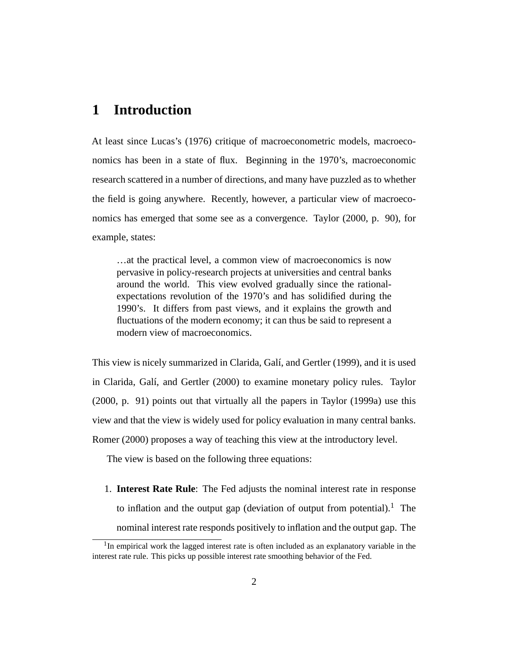#### **1 Introduction**

At least since Lucas's (1976) critique of macroeconometric models, macroeconomics has been in a state of flux. Beginning in the 1970's, macroeconomic research scattered in a number of directions, and many have puzzled as to whether the field is going anywhere. Recently, however, a particular view of macroeconomics has emerged that some see as a convergence. Taylor (2000, p. 90), for example, states:

…at the practical level, a common view of macroeconomics is now pervasive in policy-research projects at universities and central banks around the world. This view evolved gradually since the rationalexpectations revolution of the 1970's and has solidified during the 1990's. It differs from past views, and it explains the growth and fluctuations of the modern economy; it can thus be said to represent a modern view of macroeconomics.

This view is nicely summarized in Clarida, Galí, and Gertler (1999), and it is used in Clarida, Galí, and Gertler (2000) to examine monetary policy rules. Taylor (2000, p. 91) points out that virtually all the papers in Taylor (1999a) use this view and that the view is widely used for policy evaluation in many central banks. Romer (2000) proposes a way of teaching this view at the introductory level.

The view is based on the following three equations:

1. **Interest Rate Rule**: The Fed adjusts the nominal interest rate in response to inflation and the output gap (deviation of output from potential).<sup>1</sup> The nominal interest rate responds positively to inflation and the output gap. The

 $1$ In empirical work the lagged interest rate is often included as an explanatory variable in the interest rate rule. This picks up possible interest rate smoothing behavior of the Fed.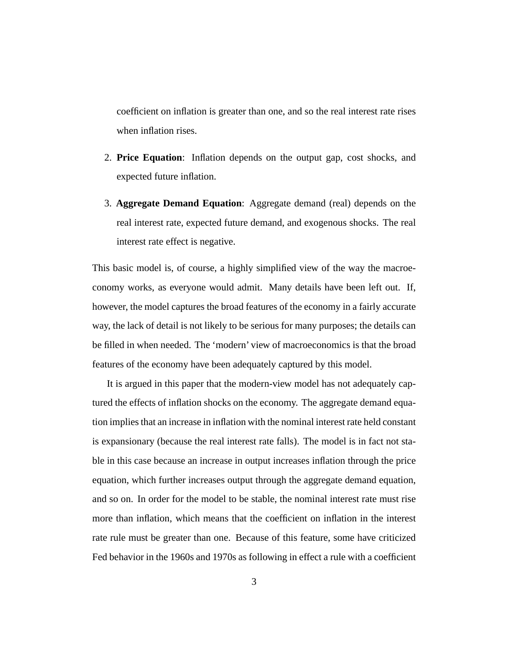coefficient on inflation is greater than one, and so the real interest rate rises when inflation rises.

- 2. **Price Equation**: Inflation depends on the output gap, cost shocks, and expected future inflation.
- 3. **Aggregate Demand Equation**: Aggregate demand (real) depends on the real interest rate, expected future demand, and exogenous shocks. The real interest rate effect is negative.

This basic model is, of course, a highly simplified view of the way the macroeconomy works, as everyone would admit. Many details have been left out. If, however, the model captures the broad features of the economy in a fairly accurate way, the lack of detail is not likely to be serious for many purposes; the details can be filled in when needed. The 'modern' view of macroeconomics is that the broad features of the economy have been adequately captured by this model.

It is argued in this paper that the modern-view model has not adequately captured the effects of inflation shocks on the economy. The aggregate demand equation implies that an increase in inflation with the nominal interest rate held constant is expansionary (because the real interest rate falls). The model is in fact not stable in this case because an increase in output increases inflation through the price equation, which further increases output through the aggregate demand equation, and so on. In order for the model to be stable, the nominal interest rate must rise more than inflation, which means that the coefficient on inflation in the interest rate rule must be greater than one. Because of this feature, some have criticized Fed behavior in the 1960s and 1970s as following in effect a rule with a coefficient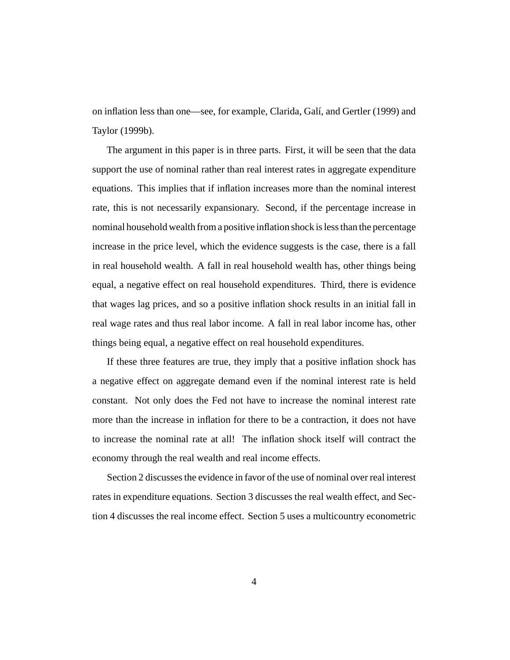on inflation less than one—see, for example, Clarida, Galí, and Gertler (1999) and Taylor (1999b).

The argument in this paper is in three parts. First, it will be seen that the data support the use of nominal rather than real interest rates in aggregate expenditure equations. This implies that if inflation increases more than the nominal interest rate, this is not necessarily expansionary. Second, if the percentage increase in nominal household wealth from a positive inflation shock is less than the percentage increase in the price level, which the evidence suggests is the case, there is a fall in real household wealth. A fall in real household wealth has, other things being equal, a negative effect on real household expenditures. Third, there is evidence that wages lag prices, and so a positive inflation shock results in an initial fall in real wage rates and thus real labor income. A fall in real labor income has, other things being equal, a negative effect on real household expenditures.

If these three features are true, they imply that a positive inflation shock has a negative effect on aggregate demand even if the nominal interest rate is held constant. Not only does the Fed not have to increase the nominal interest rate more than the increase in inflation for there to be a contraction, it does not have to increase the nominal rate at all! The inflation shock itself will contract the economy through the real wealth and real income effects.

Section 2 discusses the evidence in favor of the use of nominal over real interest rates in expenditure equations. Section 3 discusses the real wealth effect, and Section 4 discusses the real income effect. Section 5 uses a multicountry econometric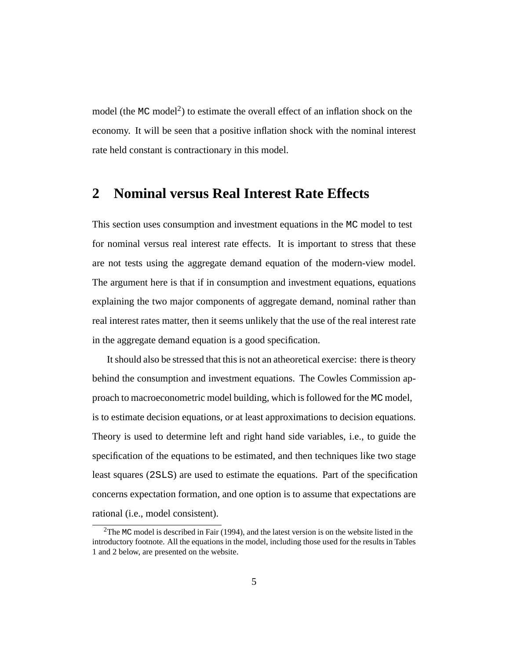model (the MC model<sup>2</sup>) to estimate the overall effect of an inflation shock on the economy. It will be seen that a positive inflation shock with the nominal interest rate held constant is contractionary in this model.

#### **2 Nominal versus Real Interest Rate Effects**

This section uses consumption and investment equations in the MC model to test for nominal versus real interest rate effects. It is important to stress that these are not tests using the aggregate demand equation of the modern-view model. The argument here is that if in consumption and investment equations, equations explaining the two major components of aggregate demand, nominal rather than real interest rates matter, then it seems unlikely that the use of the real interest rate in the aggregate demand equation is a good specification.

It should also be stressed that this is not an atheoretical exercise: there is theory behind the consumption and investment equations. The Cowles Commission approach to macroeconometric model building, which is followed for the MC model, is to estimate decision equations, or at least approximations to decision equations. Theory is used to determine left and right hand side variables, i.e., to guide the specification of the equations to be estimated, and then techniques like two stage least squares (2SLS) are used to estimate the equations. Part of the specification concerns expectation formation, and one option is to assume that expectations are rational (i.e., model consistent).

 $2$ The MC model is described in Fair (1994), and the latest version is on the website listed in the introductory footnote. All the equations in the model, including those used for the results in Tables 1 and 2 below, are presented on the website.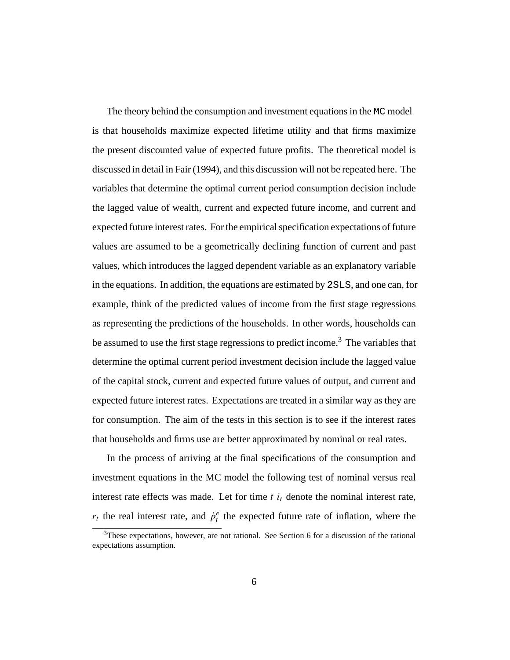The theory behind the consumption and investment equations in the MC model is that households maximize expected lifetime utility and that firms maximize the present discounted value of expected future profits. The theoretical model is discussed in detail in Fair (1994), and this discussion will not be repeated here. The variables that determine the optimal current period consumption decision include the lagged value of wealth, current and expected future income, and current and expected future interest rates. For the empirical specification expectations of future values are assumed to be a geometrically declining function of current and past values, which introduces the lagged dependent variable as an explanatory variable in the equations. In addition, the equations are estimated by 2SLS, and one can, for example, think of the predicted values of income from the first stage regressions as representing the predictions of the households. In other words, households can be assumed to use the first stage regressions to predict income.<sup>3</sup> The variables that determine the optimal current period investment decision include the lagged value of the capital stock, current and expected future values of output, and current and expected future interest rates. Expectations are treated in a similar way as they are for consumption. The aim of the tests in this section is to see if the interest rates that households and firms use are better approximated by nominal or real rates.

In the process of arriving at the final specifications of the consumption and investment equations in the MC model the following test of nominal versus real interest rate effects was made. Let for time  $t$   $i_t$  denote the nominal interest rate,  $r_t$  the real interest rate, and  $\dot{p}_t^e$  the expected future rate of inflation, where the

 $3$ These expectations, however, are not rational. See Section 6 for a discussion of the rational expectations assumption.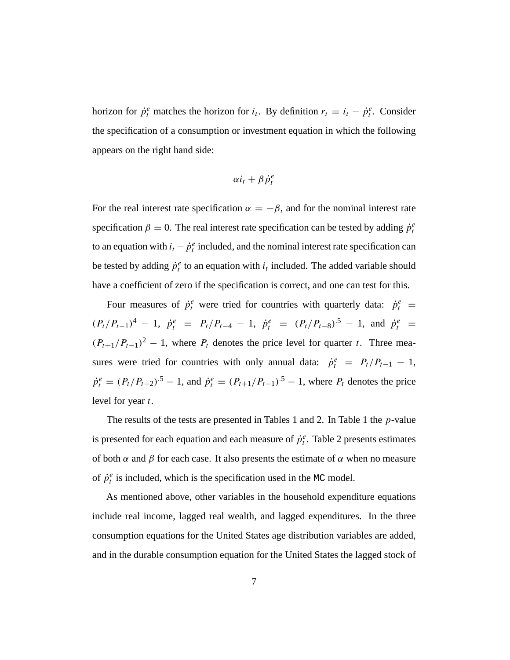horizon for  $\dot{p}_t^e$  matches the horizon for  $i_t$ . By definition  $r_t = i_t - \dot{p}_t^e$ . Consider the specification of a consumption or investment equation in which the following appears on the right hand side:

$$
\alpha i_t + \beta \dot{p}_t^e
$$

For the real interest rate specification  $\alpha = -\beta$ , and for the nominal interest rate specification  $\beta = 0$ . The real interest rate specification can be tested by adding  $\dot{p}_t^e$ to an equation with  $i_t - \dot{p}_t^e$  included, and the nominal interest rate specification can be tested by adding  $\dot{p}_t^e$  to an equation with  $i_t$  included. The added variable should have a coefficient of zero if the specification is correct, and one can test for this.

Four measures of  $\dot{p}_t^e$  were tried for countries with quarterly data:  $\dot{p}_t^e$  =  $(P_t/P_{t-1})^4 - 1$ ,  $\dot{p}_t^e = P_t/P_{t-4} - 1$ ,  $\dot{p}_t^e = (P_t/P_{t-8})^5 - 1$ , and  $\dot{p}_t^e =$  $(P_{t+1}/P_{t-1})^2 - 1$ , where  $P_t$  denotes the price level for quarter t. Three measures were tried for countries with only annual data:  $\dot{p}_t^e = P_t/P_{t-1} - 1$ ,  $\dot{p}_t^e = (P_t/P_{t-2})^{.5} - 1$ , and  $\dot{p}_t^e = (P_{t+1}/P_{t-1})^{.5} - 1$ , where  $P_t$  denotes the price level for year t.

The results of the tests are presented in Tables 1 and 2. In Table 1 the *p*-value is presented for each equation and each measure of  $\dot{p}_t^e$ . Table 2 presents estimates of both  $\alpha$  and  $\beta$  for each case. It also presents the estimate of  $\alpha$  when no measure of  $\dot{p}_t^e$  is included, which is the specification used in the MC model.

As mentioned above, other variables in the household expenditure equations include real income, lagged real wealth, and lagged expenditures. In the three consumption equations for the United States age distribution variables are added, and in the durable consumption equation for the United States the lagged stock of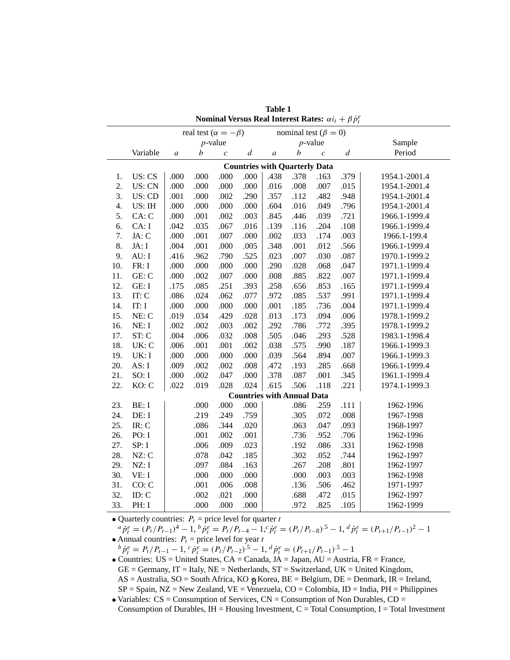| Nominal Versus Real Interest Rates: $\alpha i_t + \beta \dot{p}_t^e$ |                                      |                  |      |                   |                  |                  |                                   |                   |                  |               |  |  |  |
|----------------------------------------------------------------------|--------------------------------------|------------------|------|-------------------|------------------|------------------|-----------------------------------|-------------------|------------------|---------------|--|--|--|
| real test ( $\alpha = -\beta$ )<br>nominal test ( $\beta = 0$ )      |                                      |                  |      |                   |                  |                  |                                   |                   |                  |               |  |  |  |
|                                                                      |                                      |                  |      | $p$ -value        |                  |                  |                                   | $p$ -value        | Sample           |               |  |  |  |
|                                                                      | Variable                             | $\boldsymbol{a}$ | b    | $\mathcal{C}_{0}$ | $\boldsymbol{d}$ | $\boldsymbol{a}$ | $\boldsymbol{b}$                  | $\mathcal{C}_{0}$ | $\boldsymbol{d}$ | Period        |  |  |  |
|                                                                      | <b>Countries with Quarterly Data</b> |                  |      |                   |                  |                  |                                   |                   |                  |               |  |  |  |
| 1.                                                                   | US: CS                               | .000             | .000 | .000              | .000             | .438             | .378                              | .163              | .379             | 1954.1-2001.4 |  |  |  |
| 2.                                                                   | US: CN                               | .000             | .000 | .000              | .000             | .016             | .008                              | .007              | .015             | 1954.1-2001.4 |  |  |  |
| 3.                                                                   | US: CD                               | .001             | .000 | .002              | .290             | .357             | .112                              | .482              | .948             | 1954.1-2001.4 |  |  |  |
| 4.                                                                   | US: IH                               | .000             | .000 | .000              | .000             | .604             | .016                              | .049              | .796             | 1954.1-2001.4 |  |  |  |
| 5.                                                                   | CA: C                                | .000             | .001 | .002              | .003             | .845             | .446                              | .039              | .721             | 1966.1-1999.4 |  |  |  |
| 6.                                                                   | CA: I                                | .042             | .035 | .067              | .016             | .139             | .116                              | .204              | .108             | 1966.1-1999.4 |  |  |  |
| 7.                                                                   | JA: C                                | .000             | .001 | .007              | .000             | .002             | .033                              | .174              | .003             | 1966.1-199.4  |  |  |  |
| 8.                                                                   | JA: I                                | .004             | .001 | .000              | .005             | .348             | .001                              | .012              | .566             | 1966.1-1999.4 |  |  |  |
| 9.                                                                   | AU: I                                | .416             | .962 | .790              | .525             | .023             | .007                              | .030              | .087             | 1970.1-1999.2 |  |  |  |
| 10.                                                                  | FR: I                                | .000             | .000 | .000              | .000             | .290             | .028                              | .068              | .047             | 1971.1-1999.4 |  |  |  |
| 11.                                                                  | GE: C                                | .000             | .002 | .007              | .000             | .008             | .885                              | .822              | .007             | 1971.1-1999.4 |  |  |  |
| 12.                                                                  | GE: I                                | .175             | .085 | .251              | .393             | .258             | .656                              | .853              | .165             | 1971.1-1999.4 |  |  |  |
| 13.                                                                  | IT: C                                | .086             | .024 | .062              | .077             | .972             | .085                              | .537              | .991             | 1971.1-1999.4 |  |  |  |
| 14.                                                                  | IT: I                                | .000             | .000 | .000              | .000             | .001             | .185                              | .736              | .004             | 1971.1-1999.4 |  |  |  |
| 15.                                                                  | NE: C                                | .019             | .034 | .429              | .028             | .013             | .173                              | .094              | .006             | 1978.1-1999.2 |  |  |  |
| 16.                                                                  | NE: I                                | .002             | .002 | .003              | .002             | .292             | .786                              | .772              | .395             | 1978.1-1999.2 |  |  |  |
| 17.                                                                  | ST: C                                | .004             | .006 | .032              | .008             | .505             | .046                              | .293              | .528             | 1983.1-1998.4 |  |  |  |
| 18.                                                                  | UK: C                                | .006             | .001 | .001              | .002             | .038             | .575                              | .990              | .187             | 1966.1-1999.3 |  |  |  |
| 19.                                                                  | UK: I                                | .000             | .000 | .000              | .000             | .039             | .564                              | .894              | .007             | 1966.1-1999.3 |  |  |  |
| 20.                                                                  | AS: I                                | .009             | .002 | .002              | .008             | .472             | .193                              | .285              | .668             | 1966.1-1999.4 |  |  |  |
| 21.                                                                  | SO: I                                | .000             | .002 | .047              | .000             | .378             | .087                              | .001              | .345             | 1961.1-1999.4 |  |  |  |
| 22.                                                                  | KO: C                                | .022             | .019 | .028              | .024             | .615             | .506                              | .118              | .221             | 1974.1-1999.3 |  |  |  |
|                                                                      |                                      |                  |      |                   |                  |                  | <b>Countries with Annual Data</b> |                   |                  |               |  |  |  |
| 23.                                                                  | BE: I                                |                  | .000 | .000              | .000             |                  | .086                              | .259              | .111             | 1962-1996     |  |  |  |
| 24.                                                                  | DE: I                                |                  | .219 | .249              | .759             |                  | .305                              | .072              | .008             | 1967-1998     |  |  |  |
| 25.                                                                  | $IR:$ $C$                            |                  | .086 | .344              | .020             |                  | .063                              | .047              | .093             | 1968-1997     |  |  |  |
| 26.                                                                  | PO: I                                |                  | .001 | .002              | .001             |                  | .736                              | .952              | .706             | 1962-1996     |  |  |  |
| 27.                                                                  | SP: I                                |                  | .006 | .009              | .023             |                  | .192                              | .086              | .331             | 1962-1998     |  |  |  |
| 28.                                                                  | NZ: C                                |                  | .078 | .042              | .185             |                  | .302                              | .052              | .744             | 1962-1997     |  |  |  |
| 29.                                                                  | NZ: I                                |                  | .097 | .084              | .163             |                  | .267                              | .208              | .801             | 1962-1997     |  |  |  |
| 30.                                                                  | VE: I                                |                  | .000 | .000              | .000             |                  | .000                              | .003              | .003             | 1962-1998     |  |  |  |
| 31.                                                                  | CO: C                                |                  | .001 | .006              | .008             |                  | .136                              | .506              | .462             | 1971-1997     |  |  |  |
| 32.                                                                  | ID: C                                |                  | .002 | .021              | .000             |                  | .688                              | .472              | .015             | 1962-1997     |  |  |  |
| 33.                                                                  | PH: I                                |                  | .000 | .000              | .000             |                  | .972                              | .825              | .105             | 1962-1999     |  |  |  |

**Table 1**

• Quarterly countries:  $P_t$  = price level for quarter t <br>  ${}^a \dot{p}_t^e = (P_t/P_{t-1})^4 - 1$ ,  ${}^b \dot{p}_t^e = P_t/P_{t-4} - 1$ ,  ${}^c \dot{p}_t^e = (P_t/P_{t-8})^5 - 1$ ,  ${}^d \dot{p}_t^e = (P_{t+1}/P_{t-1})^2 - 1$ • Annual countries:  $P_t$  = price level for year t

 $b^b \dot{p}_t^e = P_t / P_{t-1} - 1$ ,  $c^c \dot{p}_t^e = (P_t / P_{t-2})^{5} - 1$ ,  $d^d \dot{p}_t^e = (P_{t+1} / P_{t-1})^{5} - 1$ 

• Countries: US = United States, CA = Canada, JA = Japan, AU = Austria, FR = France,  $GE = Germany$ ,  $IT = Italy$ ,  $NE = Netherlands$ ,  $ST = Switzerland$ ,  $UK = United Kingdom$ ,  $AS =$  Australia,  $SO =$  South Africa,  $KO =$  Korea,  $BE =$  Belgium,  $DE =$  Denmark,  $IR =$  Ireland,  $SP =$  Spain,  $NZ =$  New Zealand,  $VE =$  Venezuela,  $CO =$  Colombia,  $ID =$  India,  $PH =$  Philippines

• Variables:  $CS =$  Consumption of Services,  $CN =$  Consumption of Non Durables,  $CD =$ Consumption of Durables,  $IH =$  Housing Investment,  $C =$  Total Consumption, I = Total Investment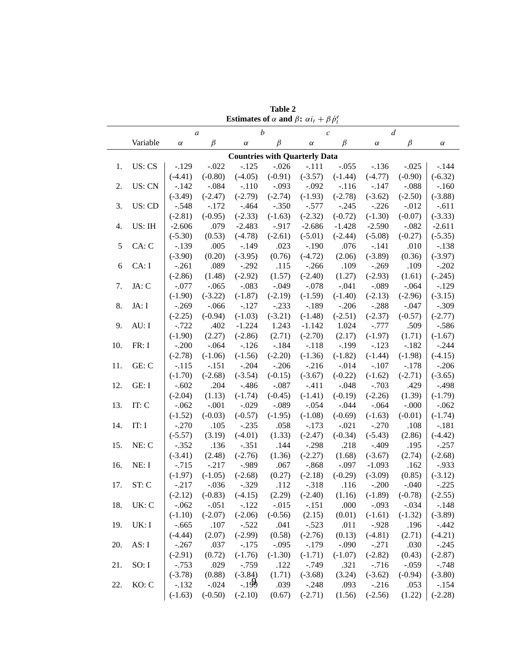|                                      |          | of a and $\rho \cdot \alpha t_l + \rho \gamma_l$<br>$\boldsymbol{b}$<br>$\boldsymbol{a}$<br>$\mathfrak c$ |                               |           |           |           |           | $\boldsymbol{d}$                                |           |           |  |
|--------------------------------------|----------|-----------------------------------------------------------------------------------------------------------|-------------------------------|-----------|-----------|-----------|-----------|-------------------------------------------------|-----------|-----------|--|
|                                      | Variable | $\alpha$                                                                                                  | $\beta$                       | $\alpha$  | $\beta$   | $\alpha$  | $\beta$   | $\alpha$                                        | $\beta$   | $\alpha$  |  |
| <b>Countries with Quarterly Data</b> |          |                                                                                                           |                               |           |           |           |           |                                                 |           |           |  |
| 1.                                   | US: CS   | $-.129$                                                                                                   | $-.022$                       | $-.125$   | $-.026$   | $-.111$   | $-.055$   | $-.136$                                         | $-.025$   | $-.144$   |  |
|                                      |          | $(-4.41)$                                                                                                 | $(-0.80)$                     | $(-4.05)$ | $(-0.91)$ | $(-3.57)$ | $(-1.44)$ | $(-4.77)$                                       | $(-0.90)$ | $(-6.32)$ |  |
| 2.                                   | US: CN   | $-.142$                                                                                                   | $-.084$                       | $-.110$   | $-.093$   | $-.092$   | $-.116$   | $-.147$                                         | $-.088$   | $-.160$   |  |
|                                      |          | $(-3.49)$                                                                                                 | $(-2.47)$                     | $(-2.79)$ | $(-2.74)$ | $(-1.93)$ | $(-2.78)$ | $(-3.62)$                                       | $(-2.50)$ | $(-3.88)$ |  |
| 3.                                   | US: CD   | $-.548$                                                                                                   | $-.172$                       | $-.464$   | $-.350$   | $-.577$   | $-.245$   | $-.226$                                         | $-.012$   | $-.611$   |  |
|                                      |          | $(-2.81)$                                                                                                 | $(-0.95)$                     | $(-2.33)$ | $(-1.63)$ | $(-2.32)$ | $(-0.72)$ | $(-1.30)$                                       | $(-0.07)$ | $(-3.33)$ |  |
| 4.                                   | US: IH   | $-2.606$                                                                                                  | .079                          | $-2.483$  | $-.917$   | $-2.686$  | $-1.428$  | $-2.590$                                        | $-.082$   | $-2.611$  |  |
|                                      |          | $(-5.30)$                                                                                                 | (0.53)                        | $(-4.78)$ | $(-2.61)$ | $(-5.01)$ | $(-2.44)$ | $(-5.08)$                                       | $(-0.27)$ | $(-5.35)$ |  |
| 5                                    | CA: C    | $-.139$                                                                                                   | .005                          | $-.149$   | .023      | $-.190$   | .076      | $-.141$                                         | .010      | $-.138$   |  |
|                                      |          | $(-3.90)$                                                                                                 | (0.20)                        | $(-3.95)$ | (0.76)    | $(-4.72)$ | (2.06)    | $(-3.89)$                                       | (0.36)    | $(-3.97)$ |  |
| 6                                    | CA: I    | $-.261$                                                                                                   | .089                          | $-.292$   | .115      | $-.266$   | .109      | $-.269$                                         | .109      | $-.202$   |  |
|                                      |          | $(-2.86)$                                                                                                 | (1.48)                        | $(-2.92)$ | (1.57)    | $(-2.40)$ | (1.27)    | $(-2.93)$                                       | (1.61)    | $(-.245)$ |  |
| 7.                                   | JA: C    | $-.077$                                                                                                   | $-.065$                       | $-.083$   | $-.049$   | $-.078$   | $-.041$   | $-.089$                                         | $-.064$   | $-.129$   |  |
|                                      |          | $(-1.90)$                                                                                                 | $(-3.22)$                     | $(-1.87)$ | $(-2.19)$ | $(-1.59)$ | $(-1.40)$ | $(-2.13)$                                       | $(-2.96)$ | $(-3.15)$ |  |
| 8.                                   | JA: I    | $-.269$                                                                                                   | $-.066$                       | $-.127$   | $-.233$   | $-.189$   | $-.206$   | $-.288$                                         | $-.047$   | $-.309$   |  |
|                                      |          | $(-2.25)$                                                                                                 | $(-0.94)$                     | $(-1.03)$ | $(-3.21)$ | $(-1.48)$ | $(-2.51)$ | $(-2.37)$                                       | $(-0.57)$ | $(-2.77)$ |  |
| 9.                                   | AU: I    | $-.722$                                                                                                   | .402                          | $-1.224$  | 1.243     | $-1.142$  | 1.024     | $-.777$                                         | .509      | $-.586$   |  |
|                                      |          | $(-1.90)$                                                                                                 | (2.27)                        | $(-2.86)$ | (2.71)    | $(-2.70)$ | (2.17)    | $(-1.97)$                                       | (1.71)    | $(-1.67)$ |  |
| 10.                                  | FR: I    | $-.200$                                                                                                   | $-.064$                       | $-.126$   | $-.184$   | $-.118$   | $-.199$   | $-.123$                                         | $-.182$   | $-.244$   |  |
|                                      |          | $(-2.78)$                                                                                                 | $(-1.06)$                     | $(-1.56)$ | $(-2.20)$ | $(-1.36)$ | $(-1.82)$ | $(-1.44)$                                       | $(-1.98)$ | $(-4.15)$ |  |
| 11.                                  | GE: C    | $-.115$                                                                                                   | $-.151$                       | $-.204$   | $-.206$   | $-.216$   | $-.014$   | $-.107$                                         | $-.178$   | $-.206$   |  |
|                                      |          | $(-1.70)$                                                                                                 | $(-2.68)$                     | $(-3.54)$ | $(-0.15)$ | $(-3.67)$ | $(-0.22)$ | $(-1.62)$                                       | $(-2.71)$ | $(-3.65)$ |  |
| 12.                                  | GE: I    | $-.602$                                                                                                   | .204                          | $-.486$   | $-.087$   | $-.411$   | $-.048$   | $-.703$                                         | .429      | $-.498$   |  |
|                                      |          | $(-2.04)$                                                                                                 | (1.13)                        | $(-1.74)$ | $(-0.45)$ | $(-1.41)$ | $(-0.19)$ | $(-2.26)$                                       | (1.39)    | $(-1.79)$ |  |
| 13.                                  | IT: C    | $-.062$                                                                                                   | $-.001$                       | $-.029$   | $-.089$   | $-.054$   | $-.044$   | $-.064$                                         | $-.000$   | $-.062$   |  |
|                                      |          | $(-1.52)$                                                                                                 | $(-0.03)$                     | $(-0.57)$ | $(-1.95)$ | $(-1.08)$ | $(-0.69)$ | $(-1.63)$                                       | $(-0.01)$ | $(-1.74)$ |  |
| 14.                                  | IT: I    | $-.270$                                                                                                   | .105                          | $-.235$   | .058      | $-.173$   | $-.021$   | $-.270$                                         | .108      | $-.181$   |  |
|                                      |          | $(-5.57)$                                                                                                 | (3.19)                        | $(-4.01)$ | (1.33)    | $(-2.47)$ | $(-0.34)$ | $(-5.43)$                                       | (2.86)    | $(-4.42)$ |  |
| 15.                                  | NE: C    | $-.352$                                                                                                   | .136                          | $-.351$   | .144      | $-.298$   | .218      | $-.409$                                         | .195      | $-.257$   |  |
|                                      |          | $(-3.41)$                                                                                                 | (2.48)                        | $(-2.76)$ | (1.36)    | $(-2.27)$ | (1.68)    | $(-3.67)$                                       | (2.74)    | $(-2.68)$ |  |
| 16.                                  | NE: I    | $-.715$                                                                                                   | $-.217$                       | $-0.989$  | .067      | $-.868$   | $-.097$   | $-1.093$                                        | .162      | $-.933$   |  |
|                                      |          | $(-1.97)$                                                                                                 | $(-1.05)$                     | $(-2.68)$ | (0.27)    | $(-2.18)$ | $(-0.29)$ | $(-3.09)$                                       | (0.85)    | $(-3.12)$ |  |
| 17.                                  | ST: C    | $-.217$                                                                                                   | $-.036$                       | $-.329$   | .112      | $-.318$   | .116      | $-.200$                                         | $-.040$   | $-.225$   |  |
|                                      |          |                                                                                                           | $(-2.12)$ $(-0.83)$ $(-4.15)$ |           |           |           |           | $(2.29)$ $(-2.40)$ $(1.16)$ $(-1.89)$ $(-0.78)$ |           | $(-2.55)$ |  |
| 18.                                  | UK: C    | $-.062$                                                                                                   | $-.051$                       | $-.122$   | $-.015$   | $-.151$   | .000      | $-.093$                                         | $-.034$   | $-.148$   |  |
|                                      |          | $(-1.10)$                                                                                                 | $(-2.07)$                     | $(-2.06)$ | $(-0.56)$ | (2.15)    | (0.01)    | $(-1.61)$                                       | $(-1.32)$ | $(-3.89)$ |  |
| 19.                                  | UK: I    | $-.665$                                                                                                   | .107                          | $-.522$   | .041      | $-.523$   | .011      | $-.928$                                         | .196      | $-.442$   |  |
|                                      |          | $(-4.44)$                                                                                                 | (2.07)                        | $(-2.99)$ | (0.58)    | $(-2.76)$ | (0.13)    | $(-4.81)$                                       | (2.71)    | $(-4.21)$ |  |
| 20.                                  | AS: I    | $-.267$                                                                                                   | .037                          | $-.175$   | $-.095$   | $-.179$   | $-.090$   | $-.271$                                         | .030      | $-.245$   |  |
|                                      |          | $(-2.91)$                                                                                                 | (0.72)                        | $(-1.76)$ | $(-1.30)$ | $(-1.71)$ | $(-1.07)$ | $(-2.82)$                                       | (0.43)    | $(-2.87)$ |  |
| 21.                                  | SO: I    | $-.753$                                                                                                   | .029                          | $-0.759$  | .122      | $-.749$   | .321      | $-0.716$                                        | $-.059$   | $-.748$   |  |
|                                      |          | $(-3.78)$                                                                                                 | (0.88)                        | $(-3.84)$ | (1.71)    | $(-3.68)$ | (3.24)    | $(-3.62)$                                       | $(-0.94)$ | $(-3.80)$ |  |
| 22.                                  | KO: C    | $-.132$                                                                                                   | $-.024$                       | $-199$    | .039      | $-.248$   | .093      | $-.216$                                         | .053      | $-.154$   |  |
|                                      |          | $(-1.63)$                                                                                                 | $(-0.50)$                     | $(-2.10)$ | (0.67)    | $(-2.71)$ | (1.56)    | $(-2.56)$                                       | (1.22)    | $(-2.28)$ |  |

**Table 2 Estimates of**  $\alpha$  and  $\beta$ :  $\alpha i_t + \beta \dot{p}_t^e$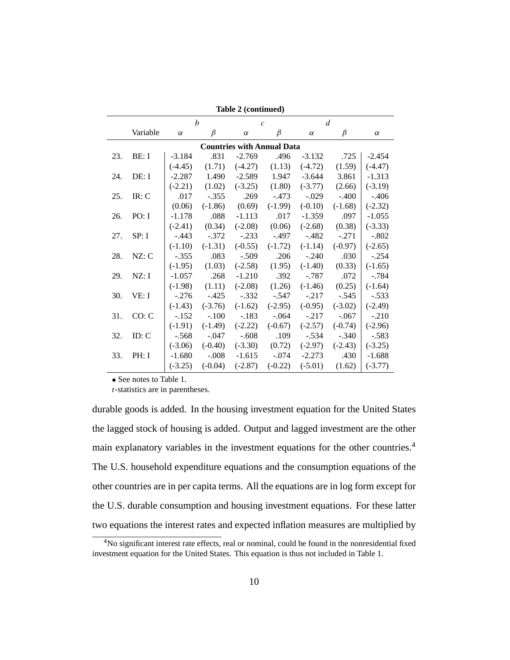| Table 2 (continued) |                                   |           |                  |                |           |                |           |           |  |  |  |  |
|---------------------|-----------------------------------|-----------|------------------|----------------|-----------|----------------|-----------|-----------|--|--|--|--|
|                     |                                   |           | $\boldsymbol{h}$ | $\overline{c}$ |           | $\overline{d}$ |           |           |  |  |  |  |
|                     | Variable                          | $\alpha$  | $\beta$          | $\alpha$       | $\beta$   | $\alpha$       | β         | $\alpha$  |  |  |  |  |
|                     | <b>Countries with Annual Data</b> |           |                  |                |           |                |           |           |  |  |  |  |
| 23.                 | BE: I                             | $-3.184$  | .831             | $-2.769$       | .496      | $-3.132$       | .725      | $-2.454$  |  |  |  |  |
|                     |                                   | $(-4.45)$ | (1.71)           | $(-4.27)$      | (1.13)    | $(-4.72)$      | (1.59)    | $(-4.47)$ |  |  |  |  |
| 24.                 | DE: I                             | $-2.287$  | 1.490            | $-2.589$       | 1.947     | $-3.644$       | 3.861     | $-1.313$  |  |  |  |  |
|                     |                                   | $(-2.21)$ | (1.02)           | $(-3.25)$      | (1.80)    | $(-3.77)$      | (2.66)    | $(-3.19)$ |  |  |  |  |
| 25.                 | $IR:$ $C$                         | .017      | $-.355$          | .269           | $-.473$   | $-.029$        | $-.400$   | $-.406$   |  |  |  |  |
|                     |                                   | (0.06)    | $(-1.86)$        | (0.69)         | $(-1.99)$ | $(-0.10)$      | $(-1.68)$ | $(-2.32)$ |  |  |  |  |
| 26.                 | PO: I                             | $-1.178$  | .088             | $-1.113$       | .017      | $-1.359$       | .097      | $-1.055$  |  |  |  |  |
|                     |                                   | $(-2.41)$ | (0.34)           | $(-2.08)$      | (0.06)    | $(-2.68)$      | (0.38)    | $(-3.33)$ |  |  |  |  |
| 27.                 | SP: I                             | $-.443$   | $-.372$          | $-.233$        | $-.497$   | $-.482$        | $-.271$   | $-.802$   |  |  |  |  |
|                     |                                   | $(-1.10)$ | $(-1.31)$        | $(-0.55)$      | $(-1.72)$ | $(-1.14)$      | $(-0.97)$ | $(-2.65)$ |  |  |  |  |
| 28.                 | NZ: C                             | $-.355$   | .083             | $-.509$        | .206      | $-.240$        | .030      | $-.254$   |  |  |  |  |
|                     |                                   | $(-1.95)$ | (1.03)           | $(-2.58)$      | (1.95)    | $(-1.40)$      | (0.33)    | $(-1.65)$ |  |  |  |  |
| 29.                 | NZ: I                             | $-1.057$  | .268             | $-1.210$       | .392      | $-.787$        | .072      | $-.784$   |  |  |  |  |
|                     |                                   | $(-1.98)$ | (1.11)           | $(-2.08)$      | (1.26)    | $(-1.46)$      | (0.25)    | $(-1.64)$ |  |  |  |  |
| 30.                 | VE: I                             | $-.276$   | $-.425$          | $-.332$        | $-.547$   | $-.217$        | $-.545$   | $-.533$   |  |  |  |  |
|                     |                                   | $(-1.43)$ | $(-3.76)$        | $(-1.62)$      | $(-2.95)$ | $(-0.95)$      | $(-3.02)$ | $(-2.49)$ |  |  |  |  |
| 31.                 | CO: C                             | $-.152$   | $-.100$          | $-.183$        | $-.064$   | $-.217$        | $-.067$   | $-.210$   |  |  |  |  |
|                     |                                   | $(-1.91)$ | $(-1.49)$        | $(-2.22)$      | $(-0.67)$ | $(-2.57)$      | $(-0.74)$ | $(-2.96)$ |  |  |  |  |
| 32.                 | ID: C                             | $-.568$   | $-.047$          | $-.608$        | .109      | $-.534$        | $-.340$   | $-.583$   |  |  |  |  |
|                     |                                   | $(-3.06)$ | $(-0.40)$        | $(-3.30)$      | (0.72)    | $(-2.97)$      | $(-2.43)$ | $(-3.25)$ |  |  |  |  |
| 33.                 | PH: I                             | $-1.680$  | $-.008$          | $-1.615$       | $-.074$   | $-2.273$       | .430      | $-1.688$  |  |  |  |  |
|                     |                                   | $(-3.25)$ | $(-0.04)$        | $(-2.87)$      | $(-0.22)$ | $(-5.01)$      | (1.62)    | $(-3.77)$ |  |  |  |  |

• See notes to Table 1.

t-statistics are in parentheses.

durable goods is added. In the housing investment equation for the United States the lagged stock of housing is added. Output and lagged investment are the other main explanatory variables in the investment equations for the other countries.4 The U.S. household expenditure equations and the consumption equations of the other countries are in per capita terms. All the equations are in log form except for the U.S. durable consumption and housing investment equations. For these latter two equations the interest rates and expected inflation measures are multiplied by

<sup>4</sup>No significant interest rate effects, real or nominal, could be found in the nonresidential fixed investment equation for the United States. This equation is thus not included in Table 1.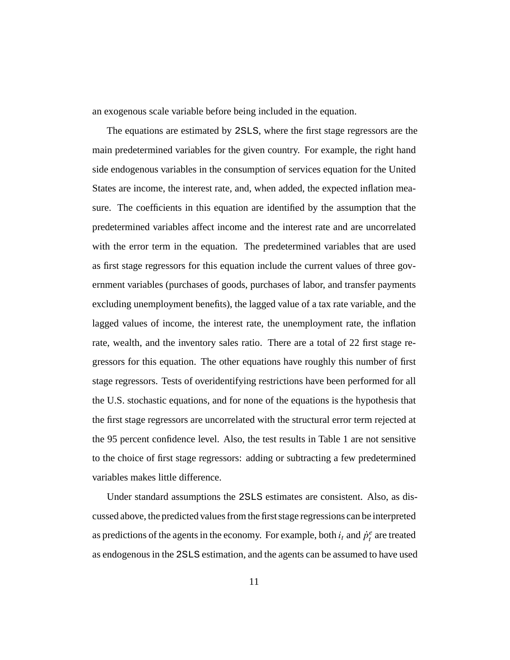an exogenous scale variable before being included in the equation.

The equations are estimated by 2SLS, where the first stage regressors are the main predetermined variables for the given country. For example, the right hand side endogenous variables in the consumption of services equation for the United States are income, the interest rate, and, when added, the expected inflation measure. The coefficients in this equation are identified by the assumption that the predetermined variables affect income and the interest rate and are uncorrelated with the error term in the equation. The predetermined variables that are used as first stage regressors for this equation include the current values of three government variables (purchases of goods, purchases of labor, and transfer payments excluding unemployment benefits), the lagged value of a tax rate variable, and the lagged values of income, the interest rate, the unemployment rate, the inflation rate, wealth, and the inventory sales ratio. There are a total of 22 first stage regressors for this equation. The other equations have roughly this number of first stage regressors. Tests of overidentifying restrictions have been performed for all the U.S. stochastic equations, and for none of the equations is the hypothesis that the first stage regressors are uncorrelated with the structural error term rejected at the 95 percent confidence level. Also, the test results in Table 1 are not sensitive to the choice of first stage regressors: adding or subtracting a few predetermined variables makes little difference.

Under standard assumptions the 2SLS estimates are consistent. Also, as discussed above, the predicted values from the first stage regressions can be interpreted as predictions of the agents in the economy. For example, both  $i_t$  and  $\dot{p}_t^e$  are treated as endogenous in the 2SLS estimation, and the agents can be assumed to have used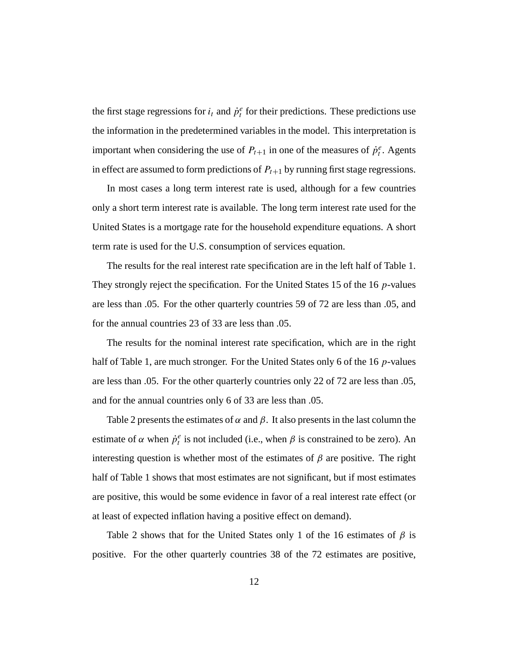the first stage regressions for  $i_t$  and  $\dot{p}_t^e$  for their predictions. These predictions use the information in the predetermined variables in the model. This interpretation is important when considering the use of  $P_{t+1}$  in one of the measures of  $\dot{p}_t^e$ . Agents in effect are assumed to form predictions of  $P_{t+1}$  by running first stage regressions.

In most cases a long term interest rate is used, although for a few countries only a short term interest rate is available. The long term interest rate used for the United States is a mortgage rate for the household expenditure equations. A short term rate is used for the U.S. consumption of services equation.

The results for the real interest rate specification are in the left half of Table 1. They strongly reject the specification. For the United States 15 of the 16  $p$ -values are less than .05. For the other quarterly countries 59 of 72 are less than .05, and for the annual countries 23 of 33 are less than .05.

The results for the nominal interest rate specification, which are in the right half of Table 1, are much stronger. For the United States only 6 of the 16  $p$ -values are less than .05. For the other quarterly countries only 22 of 72 are less than .05, and for the annual countries only 6 of 33 are less than .05.

Table 2 presents the estimates of  $\alpha$  and  $\beta$ . It also presents in the last column the estimate of  $\alpha$  when  $\dot{p}_t^e$  is not included (i.e., when  $\beta$  is constrained to be zero). An interesting question is whether most of the estimates of  $\beta$  are positive. The right half of Table 1 shows that most estimates are not significant, but if most estimates are positive, this would be some evidence in favor of a real interest rate effect (or at least of expected inflation having a positive effect on demand).

Table 2 shows that for the United States only 1 of the 16 estimates of  $\beta$  is positive. For the other quarterly countries 38 of the 72 estimates are positive,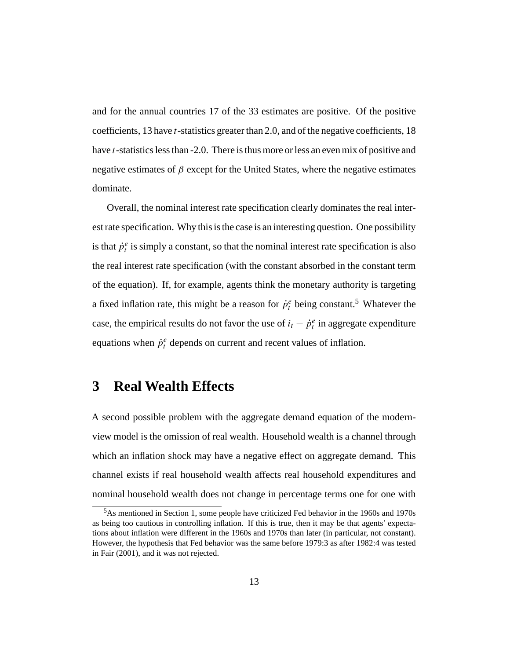and for the annual countries 17 of the 33 estimates are positive. Of the positive coefficients, 13 have t-statistics greater than 2.0, and of the negative coefficients, 18 have t-statistics less than -2.0. There is thus more or less an even mix of positive and negative estimates of  $\beta$  except for the United States, where the negative estimates dominate.

Overall, the nominal interest rate specification clearly dominates the real interest rate specification. Why this is the case is an interesting question. One possibility is that  $\dot{p}_t^e$  is simply a constant, so that the nominal interest rate specification is also the real interest rate specification (with the constant absorbed in the constant term of the equation). If, for example, agents think the monetary authority is targeting a fixed inflation rate, this might be a reason for  $\dot{p}_t^e$  being constant.<sup>5</sup> Whatever the case, the empirical results do not favor the use of  $i_t - \dot{p}_t^e$  in aggregate expenditure equations when  $\dot{p}_t^e$  depends on current and recent values of inflation.

### **3 Real Wealth Effects**

A second possible problem with the aggregate demand equation of the modernview model is the omission of real wealth. Household wealth is a channel through which an inflation shock may have a negative effect on aggregate demand. This channel exists if real household wealth affects real household expenditures and nominal household wealth does not change in percentage terms one for one with

<sup>5</sup>As mentioned in Section 1, some people have criticized Fed behavior in the 1960s and 1970s as being too cautious in controlling inflation. If this is true, then it may be that agents' expectations about inflation were different in the 1960s and 1970s than later (in particular, not constant). However, the hypothesis that Fed behavior was the same before 1979:3 as after 1982:4 was tested in Fair (2001), and it was not rejected.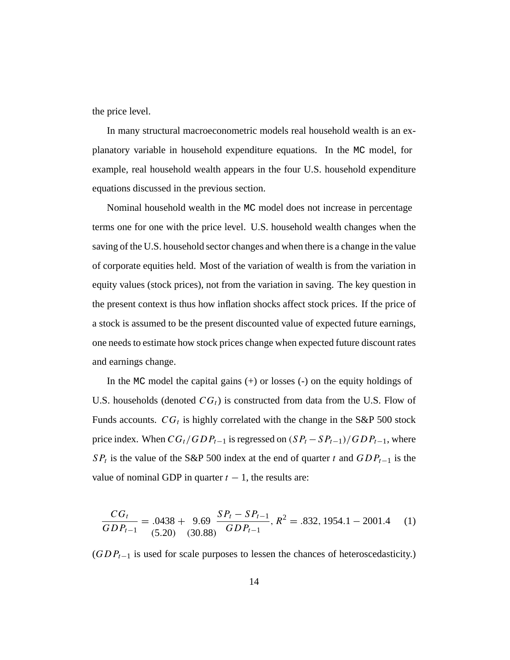the price level.

In many structural macroeconometric models real household wealth is an explanatory variable in household expenditure equations. In the MC model, for example, real household wealth appears in the four U.S. household expenditure equations discussed in the previous section.

Nominal household wealth in the MC model does not increase in percentage terms one for one with the price level. U.S. household wealth changes when the saving of the U.S. household sector changes and when there is a change in the value of corporate equities held. Most of the variation of wealth is from the variation in equity values (stock prices), not from the variation in saving. The key question in the present context is thus how inflation shocks affect stock prices. If the price of a stock is assumed to be the present discounted value of expected future earnings, one needs to estimate how stock prices change when expected future discount rates and earnings change.

In the MC model the capital gains  $(+)$  or losses  $(-)$  on the equity holdings of U.S. households (denoted  $CG<sub>t</sub>$ ) is constructed from data from the U.S. Flow of Funds accounts.  $CG_t$  is highly correlated with the change in the S&P 500 stock price index. When  $CG_t/GDP_{t-1}$  is regressed on  $(SP_t - SP_{t-1})/GDP_{t-1}$ , where SP<sub>t</sub> is the value of the S&P 500 index at the end of quarter t and  $GDP_{t-1}$  is the value of nominal GDP in quarter  $t - 1$ , the results are:

$$
\frac{CG_t}{GDP_{t-1}} = .0438 + 9.69 \frac{SP_t - SP_{t-1}}{GDP_{t-1}}, R^2 = .832, 1954.1 - 2001.4 \tag{1}
$$

 $(GDP_{t-1}$  is used for scale purposes to lessen the chances of heteroscedasticity.)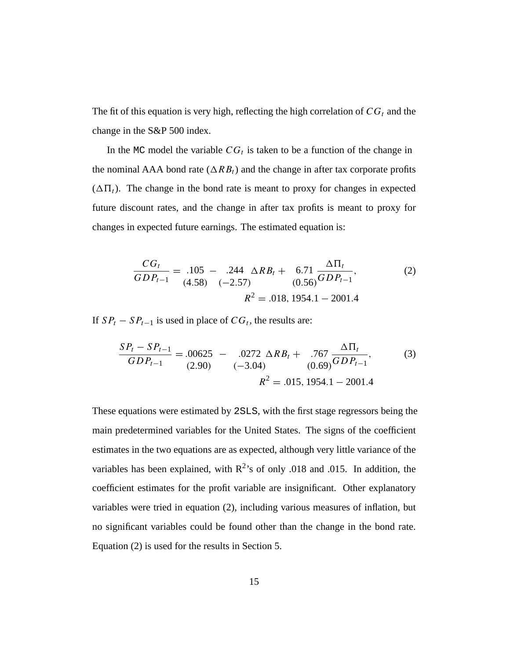The fit of this equation is very high, reflecting the high correlation of  $CG<sub>t</sub>$  and the change in the S&P 500 index.

In the MC model the variable  $CG_t$  is taken to be a function of the change in the nominal AAA bond rate ( $\Delta RB_t$ ) and the change in after tax corporate profits  $(\Delta \Pi_t)$ . The change in the bond rate is meant to proxy for changes in expected future discount rates, and the change in after tax profits is meant to proxy for changes in expected future earnings. The estimated equation is:

$$
\frac{CG_t}{GDP_{t-1}} = .105 - .244 \Delta R_{t} + 6.71 \frac{\Delta \Pi_t}{(0.56)} = .71 \frac{\Delta \Pi_t}{GDP_{t-1}},
$$
\n
$$
R^2 = .018, 1954.1 - 2001.4
$$
\n(2)

If  $SP<sub>t</sub> - SP<sub>t-1</sub>$  is used in place of  $CG<sub>t</sub>$ , the results are:

$$
\frac{SP_t - SP_{t-1}}{GDP_{t-1}} = .00625 - .0272 \Delta RB_t + .767 \frac{\Delta \Pi_t}{(0.69)} GDP_{t-1},
$$
(3)  

$$
R^2 = .015, 1954.1 - 2001.4
$$

These equations were estimated by 2SLS, with the first stage regressors being the main predetermined variables for the United States. The signs of the coefficient estimates in the two equations are as expected, although very little variance of the variables has been explained, with  $R^2$ 's of only .018 and .015. In addition, the coefficient estimates for the profit variable are insignificant. Other explanatory variables were tried in equation (2), including various measures of inflation, but no significant variables could be found other than the change in the bond rate. Equation (2) is used for the results in Section 5.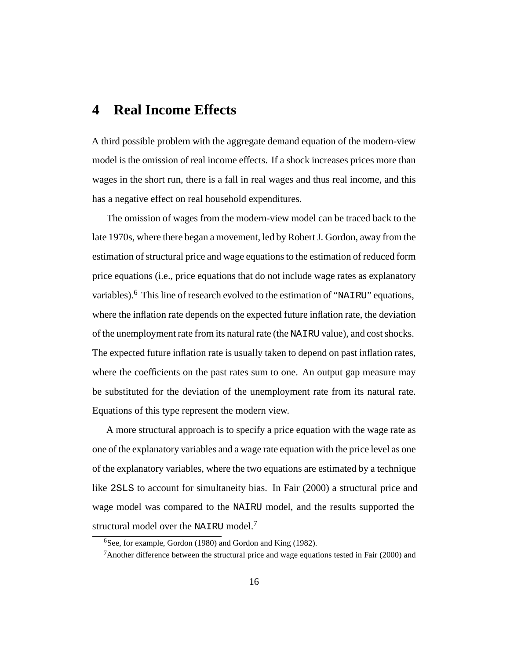#### **4 Real Income Effects**

A third possible problem with the aggregate demand equation of the modern-view model is the omission of real income effects. If a shock increases prices more than wages in the short run, there is a fall in real wages and thus real income, and this has a negative effect on real household expenditures.

The omission of wages from the modern-view model can be traced back to the late 1970s, where there began a movement, led by Robert J. Gordon, away from the estimation of structural price and wage equations to the estimation of reduced form price equations (i.e., price equations that do not include wage rates as explanatory variables).<sup>6</sup> This line of research evolved to the estimation of "NAIRU" equations, where the inflation rate depends on the expected future inflation rate, the deviation of the unemployment rate from its natural rate (the NAIRU value), and cost shocks. The expected future inflation rate is usually taken to depend on past inflation rates, where the coefficients on the past rates sum to one. An output gap measure may be substituted for the deviation of the unemployment rate from its natural rate. Equations of this type represent the modern view.

A more structural approach is to specify a price equation with the wage rate as one of the explanatory variables and a wage rate equation with the price level as one of the explanatory variables, where the two equations are estimated by a technique like 2SLS to account for simultaneity bias. In Fair (2000) a structural price and wage model was compared to the NAIRU model, and the results supported the structural model over the NAIRU model.<sup>7</sup>

 ${}^{6}$ See, for example, Gordon (1980) and Gordon and King (1982).

<sup>&</sup>lt;sup>7</sup>Another difference between the structural price and wage equations tested in Fair (2000) and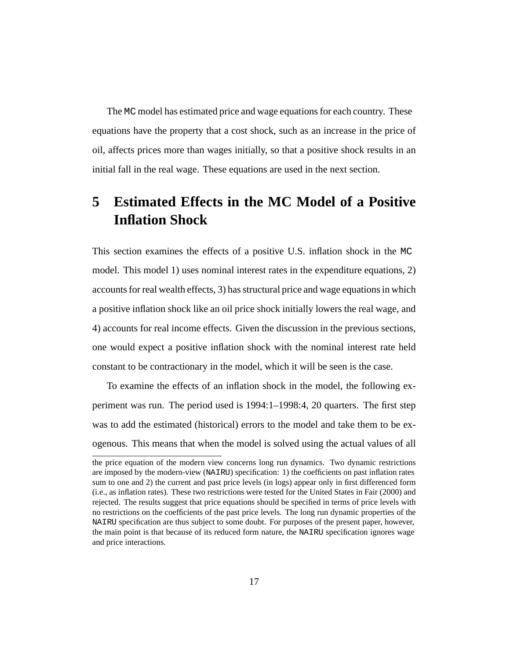The MC model has estimated price and wage equations for each country. These equations have the property that a cost shock, such as an increase in the price of oil, affects prices more than wages initially, so that a positive shock results in an initial fall in the real wage. These equations are used in the next section.

# **5 Estimated Effects in the MC Model of a Positive Inflation Shock**

This section examines the effects of a positive U.S. inflation shock in the MC model. This model 1) uses nominal interest rates in the expenditure equations, 2) accounts for real wealth effects, 3) has structural price and wage equations in which a positive inflation shock like an oil price shock initially lowers the real wage, and 4) accounts for real income effects. Given the discussion in the previous sections, one would expect a positive inflation shock with the nominal interest rate held constant to be contractionary in the model, which it will be seen is the case.

To examine the effects of an inflation shock in the model, the following experiment was run. The period used is 1994:1–1998:4, 20 quarters. The first step was to add the estimated (historical) errors to the model and take them to be exogenous. This means that when the model is solved using the actual values of all

the price equation of the modern view concerns long run dynamics. Two dynamic restrictions are imposed by the modern-view (NAIRU) specification: 1) the coefficients on past inflation rates sum to one and 2) the current and past price levels (in logs) appear only in first differenced form (i.e., as inflation rates). These two restrictions were tested for the United States in Fair (2000) and rejected. The results suggest that price equations should be specified in terms of price levels with no restrictions on the coefficients of the past price levels. The long run dynamic properties of the NAIRU specification are thus subject to some doubt. For purposes of the present paper, however, the main point is that because of its reduced form nature, the NAIRU specification ignores wage and price interactions.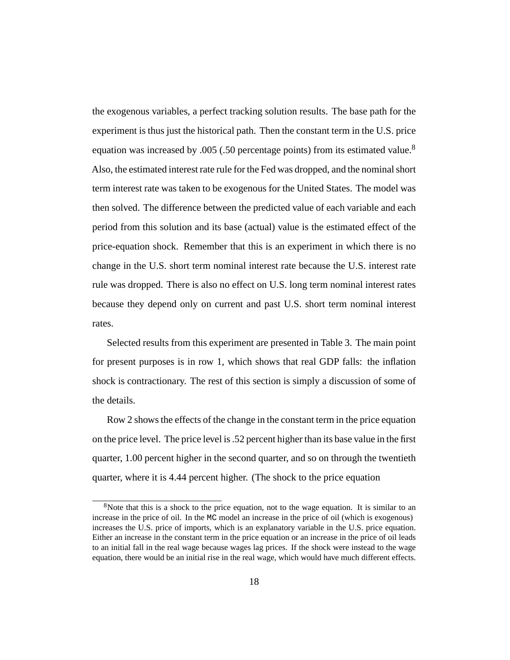the exogenous variables, a perfect tracking solution results. The base path for the experiment is thus just the historical path. Then the constant term in the U.S. price equation was increased by .005 (.50 percentage points) from its estimated value.<sup>8</sup> Also, the estimated interest rate rule for the Fed was dropped, and the nominal short term interest rate was taken to be exogenous for the United States. The model was then solved. The difference between the predicted value of each variable and each period from this solution and its base (actual) value is the estimated effect of the price-equation shock. Remember that this is an experiment in which there is no change in the U.S. short term nominal interest rate because the U.S. interest rate rule was dropped. There is also no effect on U.S. long term nominal interest rates because they depend only on current and past U.S. short term nominal interest rates.

Selected results from this experiment are presented in Table 3. The main point for present purposes is in row 1, which shows that real GDP falls: the inflation shock is contractionary. The rest of this section is simply a discussion of some of the details.

Row 2 shows the effects of the change in the constant term in the price equation on the price level. The price level is .52 percent higher than its base value in the first quarter, 1.00 percent higher in the second quarter, and so on through the twentieth quarter, where it is 4.44 percent higher. (The shock to the price equation

 $8$ Note that this is a shock to the price equation, not to the wage equation. It is similar to an increase in the price of oil. In the MC model an increase in the price of oil (which is exogenous) increases the U.S. price of imports, which is an explanatory variable in the U.S. price equation. Either an increase in the constant term in the price equation or an increase in the price of oil leads to an initial fall in the real wage because wages lag prices. If the shock were instead to the wage equation, there would be an initial rise in the real wage, which would have much different effects.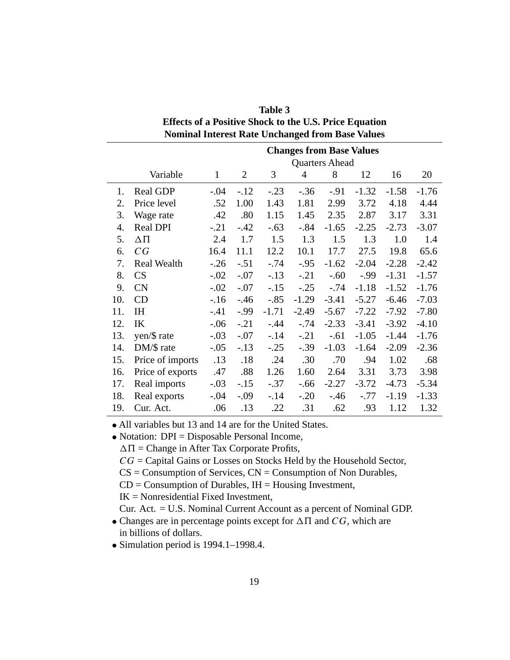| <b>Nominal Interest Rate Unchanged from Base Values</b> |                    |                                 |        |         |                |         |         |         |         |  |  |
|---------------------------------------------------------|--------------------|---------------------------------|--------|---------|----------------|---------|---------|---------|---------|--|--|
|                                                         |                    | <b>Changes from Base Values</b> |        |         |                |         |         |         |         |  |  |
|                                                         |                    | <b>Quarters Ahead</b>           |        |         |                |         |         |         |         |  |  |
|                                                         | Variable           | $\mathbf{1}$                    | 2      | 3       | $\overline{4}$ | 8       | 12      | 16      | 20      |  |  |
| 1.                                                      | Real GDP           | $-.04$                          | $-.12$ | $-.23$  | $-.36$         | $-.91$  | $-1.32$ | $-1.58$ | $-1.76$ |  |  |
| 2.                                                      | Price level        | .52                             | 1.00   | 1.43    | 1.81           | 2.99    | 3.72    | 4.18    | 4.44    |  |  |
| 3.                                                      | Wage rate          | .42                             | .80    | 1.15    | 1.45           | 2.35    | 2.87    | 3.17    | 3.31    |  |  |
| 4.                                                      | Real DPI           | $-.21$                          | $-.42$ | $-.63$  | $-0.84$        | $-1.65$ | $-2.25$ | $-2.73$ | $-3.07$ |  |  |
| 5.                                                      | $\Delta \Pi$       | 2.4                             | 1.7    | 1.5     | 1.3            | 1.5     | 1.3     | 1.0     | 1.4     |  |  |
| 6.                                                      | CG                 | 16.4                            | 11.1   | 12.2    | 10.1           | 17.7    | 27.5    | 19.8    | 65.6    |  |  |
| 7.                                                      | <b>Real Wealth</b> | $-.26$                          | $-.51$ | $-.74$  | $-.95$         | $-1.62$ | $-2.04$ | $-2.28$ | $-2.42$ |  |  |
| 8.                                                      | CS                 | $-.02$                          | $-.07$ | $-.13$  | $-.21$         | $-.60$  | $-0.99$ | $-1.31$ | $-1.57$ |  |  |
| 9.                                                      | <b>CN</b>          | $-.02$                          | $-.07$ | $-.15$  | $-.25$         | $-.74$  | $-1.18$ | $-1.52$ | $-1.76$ |  |  |
| 10.                                                     | CD                 | $-16$                           | $-46$  | $-.85$  | $-1.29$        | $-3.41$ | $-5.27$ | $-6.46$ | $-7.03$ |  |  |
| 11.                                                     | <b>IH</b>          | $-.41$                          | $-.99$ | $-1.71$ | $-2.49$        | $-5.67$ | $-7.22$ | $-7.92$ | $-7.80$ |  |  |
| 12.                                                     | IK                 | $-.06$                          | $-.21$ | $-.44$  | $-.74$         | $-2.33$ | $-3.41$ | $-3.92$ | $-4.10$ |  |  |
| 13.                                                     | yen/\$ rate        | $-.03$                          | $-.07$ | $-14$   | $-.21$         | $-.61$  | $-1.05$ | $-1.44$ | $-1.76$ |  |  |
| 14.                                                     | DM/\$ rate         | $-.05$                          | $-.13$ | $-.25$  | $-.39$         | $-1.03$ | $-1.64$ | $-2.09$ | $-2.36$ |  |  |
| 15.                                                     | Price of imports   | .13                             | .18    | .24     | .30            | .70     | .94     | 1.02    | .68     |  |  |
| 16.                                                     | Price of exports   | .47                             | .88    | 1.26    | 1.60           | 2.64    | 3.31    | 3.73    | 3.98    |  |  |
| 17.                                                     | Real imports       | $-.03$                          | $-.15$ | $-.37$  | $-.66$         | $-2.27$ | $-3.72$ | $-4.73$ | $-5.34$ |  |  |
| 18.                                                     | Real exports       | $-.04$                          | $-.09$ | $-14$   | $-.20$         | $-.46$  | $-.77$  | $-1.19$ | $-1.33$ |  |  |
| 19.                                                     | Cur. Act.          | .06                             | .13    | .22     | .31            | .62     | .93     | 1.12    | 1.32    |  |  |

**Table 3 Effects of a Positive Shock to the U.S. Price Equation**

• All variables but 13 and 14 are for the United States.

• Notation: DPI = Disposable Personal Income,

 $\Delta \Pi$  = Change in After Tax Corporate Profits,

 $CG =$  Capital Gains or Losses on Stocks Held by the Household Sector,

 $CS =$  Consumption of Services,  $CN =$  Consumption of Non Durables,

 $CD =$  Consumption of Durables,  $IH =$  Housing Investment,

IK = Nonresidential Fixed Investment,

Cur. Act. = U.S. Nominal Current Account as a percent of Nominal GDP.

- Changes are in percentage points except for  $\Delta \Pi$  and  $CG$ , which are in billions of dollars.
- Simulation period is 1994.1–1998.4.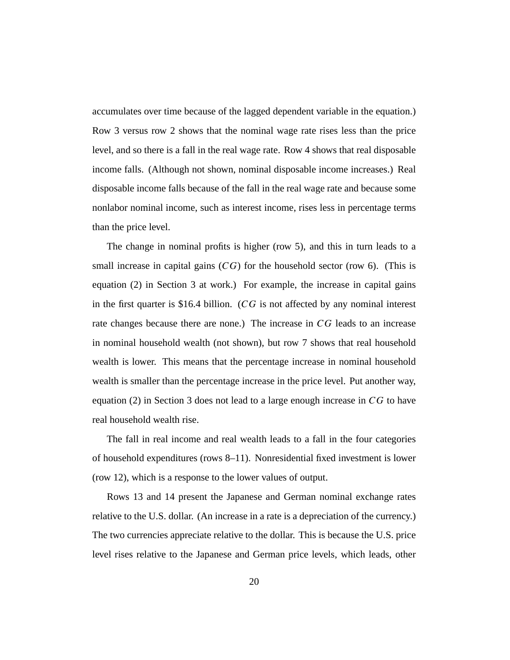accumulates over time because of the lagged dependent variable in the equation.) Row 3 versus row 2 shows that the nominal wage rate rises less than the price level, and so there is a fall in the real wage rate. Row 4 shows that real disposable income falls. (Although not shown, nominal disposable income increases.) Real disposable income falls because of the fall in the real wage rate and because some nonlabor nominal income, such as interest income, rises less in percentage terms than the price level.

The change in nominal profits is higher (row 5), and this in turn leads to a small increase in capital gains  $(CG)$  for the household sector (row 6). (This is equation (2) in Section 3 at work.) For example, the increase in capital gains in the first quarter is \$16.4 billion. (CG is not affected by any nominal interest rate changes because there are none.) The increase in CG leads to an increase in nominal household wealth (not shown), but row 7 shows that real household wealth is lower. This means that the percentage increase in nominal household wealth is smaller than the percentage increase in the price level. Put another way, equation (2) in Section 3 does not lead to a large enough increase in  $CG$  to have real household wealth rise.

The fall in real income and real wealth leads to a fall in the four categories of household expenditures (rows 8–11). Nonresidential fixed investment is lower (row 12), which is a response to the lower values of output.

Rows 13 and 14 present the Japanese and German nominal exchange rates relative to the U.S. dollar. (An increase in a rate is a depreciation of the currency.) The two currencies appreciate relative to the dollar. This is because the U.S. price level rises relative to the Japanese and German price levels, which leads, other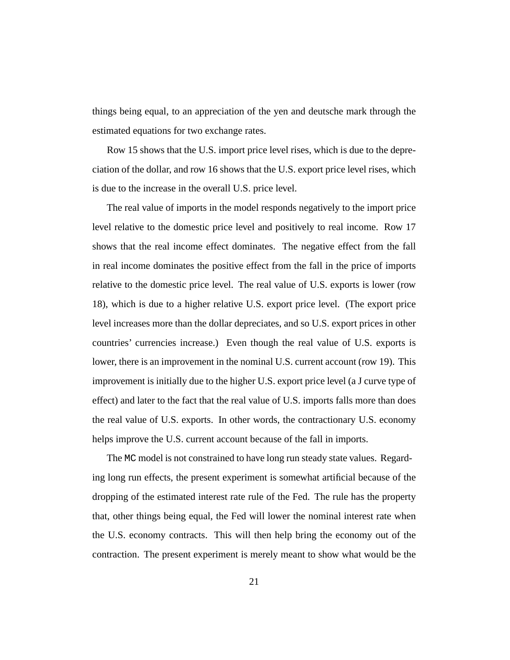things being equal, to an appreciation of the yen and deutsche mark through the estimated equations for two exchange rates.

Row 15 shows that the U.S. import price level rises, which is due to the depreciation of the dollar, and row 16 shows that the U.S. export price level rises, which is due to the increase in the overall U.S. price level.

The real value of imports in the model responds negatively to the import price level relative to the domestic price level and positively to real income. Row 17 shows that the real income effect dominates. The negative effect from the fall in real income dominates the positive effect from the fall in the price of imports relative to the domestic price level. The real value of U.S. exports is lower (row 18), which is due to a higher relative U.S. export price level. (The export price level increases more than the dollar depreciates, and so U.S. export prices in other countries' currencies increase.) Even though the real value of U.S. exports is lower, there is an improvement in the nominal U.S. current account (row 19). This improvement is initially due to the higher U.S. export price level (a J curve type of effect) and later to the fact that the real value of U.S. imports falls more than does the real value of U.S. exports. In other words, the contractionary U.S. economy helps improve the U.S. current account because of the fall in imports.

The MC model is not constrained to have long run steady state values. Regarding long run effects, the present experiment is somewhat artificial because of the dropping of the estimated interest rate rule of the Fed. The rule has the property that, other things being equal, the Fed will lower the nominal interest rate when the U.S. economy contracts. This will then help bring the economy out of the contraction. The present experiment is merely meant to show what would be the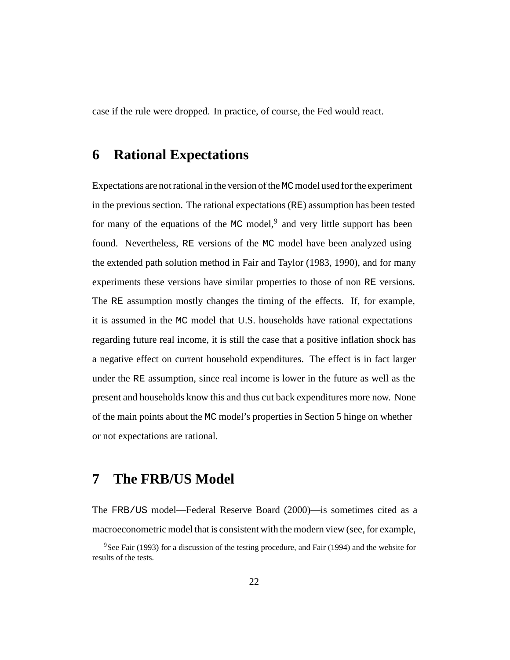case if the rule were dropped. In practice, of course, the Fed would react.

#### **6 Rational Expectations**

Expectations are not rational in the version of the MCmodel used for the experiment in the previous section. The rational expectations (RE) assumption has been tested for many of the equations of the MC model, $9$  and very little support has been found. Nevertheless, RE versions of the MC model have been analyzed using the extended path solution method in Fair and Taylor (1983, 1990), and for many experiments these versions have similar properties to those of non RE versions. The RE assumption mostly changes the timing of the effects. If, for example, it is assumed in the MC model that U.S. households have rational expectations regarding future real income, it is still the case that a positive inflation shock has a negative effect on current household expenditures. The effect is in fact larger under the RE assumption, since real income is lower in the future as well as the present and households know this and thus cut back expenditures more now. None of the main points about the MC model's properties in Section 5 hinge on whether or not expectations are rational.

## **7 The FRB/US Model**

The FRB/US model—Federal Reserve Board (2000)—is sometimes cited as a macroeconometric model that is consistent with the modern view (see, for example,

<sup>9</sup>See Fair (1993) for a discussion of the testing procedure, and Fair (1994) and the website for results of the tests.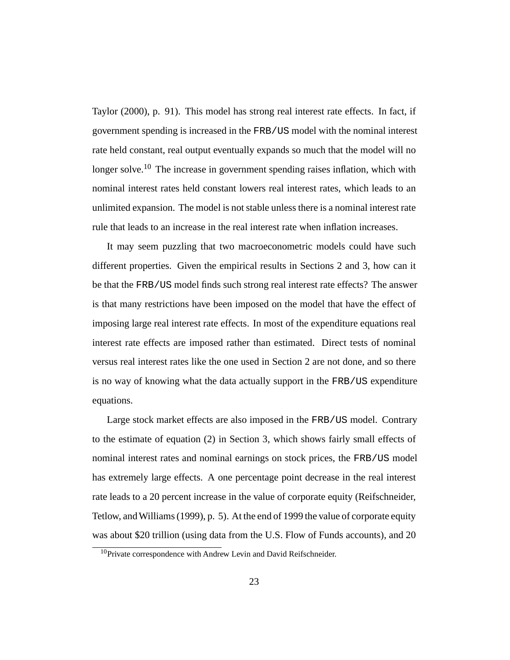Taylor (2000), p. 91). This model has strong real interest rate effects. In fact, if government spending is increased in the FRB/US model with the nominal interest rate held constant, real output eventually expands so much that the model will no longer solve.<sup>10</sup> The increase in government spending raises inflation, which with nominal interest rates held constant lowers real interest rates, which leads to an unlimited expansion. The model is not stable unless there is a nominal interest rate rule that leads to an increase in the real interest rate when inflation increases.

It may seem puzzling that two macroeconometric models could have such different properties. Given the empirical results in Sections 2 and 3, how can it be that the FRB/US model finds such strong real interest rate effects? The answer is that many restrictions have been imposed on the model that have the effect of imposing large real interest rate effects. In most of the expenditure equations real interest rate effects are imposed rather than estimated. Direct tests of nominal versus real interest rates like the one used in Section 2 are not done, and so there is no way of knowing what the data actually support in the FRB/US expenditure equations.

Large stock market effects are also imposed in the FRB/US model. Contrary to the estimate of equation (2) in Section 3, which shows fairly small effects of nominal interest rates and nominal earnings on stock prices, the FRB/US model has extremely large effects. A one percentage point decrease in the real interest rate leads to a 20 percent increase in the value of corporate equity (Reifschneider, Tetlow, and Williams (1999), p. 5). At the end of 1999 the value of corporate equity was about \$20 trillion (using data from the U.S. Flow of Funds accounts), and 20

<sup>&</sup>lt;sup>10</sup>Private correspondence with Andrew Levin and David Reifschneider.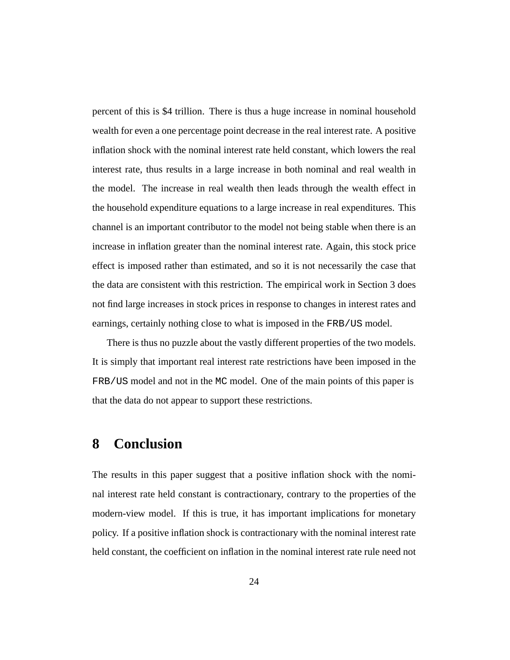percent of this is \$4 trillion. There is thus a huge increase in nominal household wealth for even a one percentage point decrease in the real interest rate. A positive inflation shock with the nominal interest rate held constant, which lowers the real interest rate, thus results in a large increase in both nominal and real wealth in the model. The increase in real wealth then leads through the wealth effect in the household expenditure equations to a large increase in real expenditures. This channel is an important contributor to the model not being stable when there is an increase in inflation greater than the nominal interest rate. Again, this stock price effect is imposed rather than estimated, and so it is not necessarily the case that the data are consistent with this restriction. The empirical work in Section 3 does not find large increases in stock prices in response to changes in interest rates and earnings, certainly nothing close to what is imposed in the FRB/US model.

There is thus no puzzle about the vastly different properties of the two models. It is simply that important real interest rate restrictions have been imposed in the FRB/US model and not in the MC model. One of the main points of this paper is that the data do not appear to support these restrictions.

#### **8 Conclusion**

The results in this paper suggest that a positive inflation shock with the nominal interest rate held constant is contractionary, contrary to the properties of the modern-view model. If this is true, it has important implications for monetary policy. If a positive inflation shock is contractionary with the nominal interest rate held constant, the coefficient on inflation in the nominal interest rate rule need not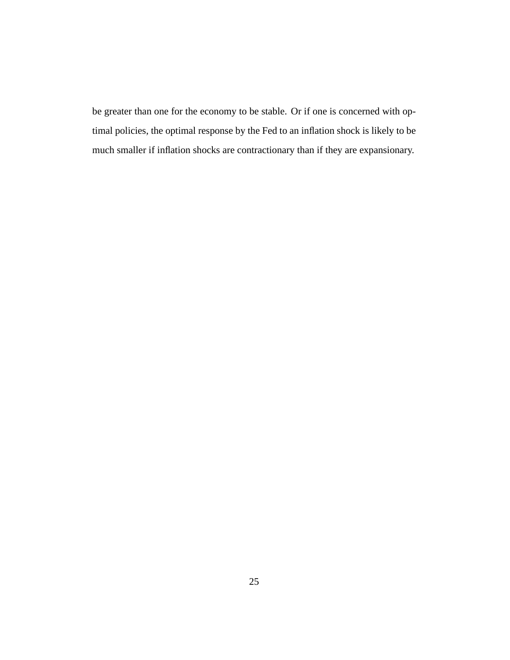be greater than one for the economy to be stable. Or if one is concerned with optimal policies, the optimal response by the Fed to an inflation shock is likely to be much smaller if inflation shocks are contractionary than if they are expansionary.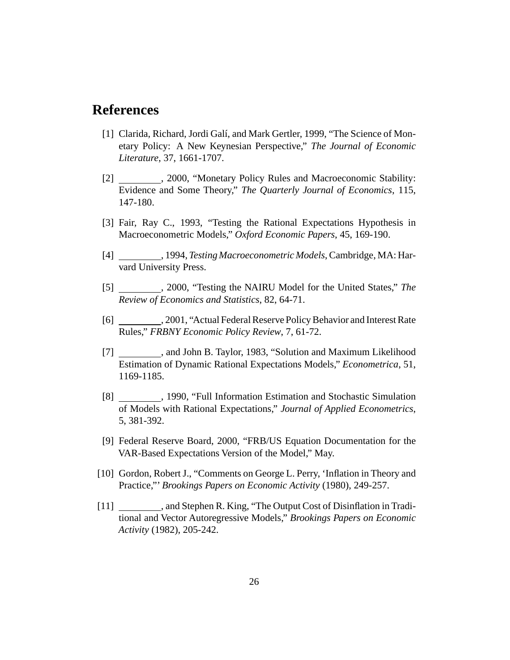#### **References**

- [1] Clarida, Richard, Jordi Galí, and Mark Gertler, 1999, "The Science of Monetary Policy: A New Keynesian Perspective," *The Journal of Economic Literature*, 37, 1661-1707.
- [2] , 2000, "Monetary Policy Rules and Macroeconomic Stability: Evidence and Some Theory," *The Quarterly Journal of Economics*, 115, 147-180.
- [3] Fair, Ray C., 1993, "Testing the Rational Expectations Hypothesis in Macroeconometric Models," *Oxford Economic Papers*, 45, 169-190.
- [4] , 1994, *Testing Macroeconometric Models*, Cambridge, MA: Harvard University Press.
- [5] , 2000, "Testing the NAIRU Model for the United States," *The Review of Economics and Statistics*, 82, 64-71.
- [6] , 2001, "Actual Federal Reserve Policy Behavior and Interest Rate Rules," *FRBNY Economic Policy Review*, 7, 61-72.
- [7] , and John B. Taylor, 1983, "Solution and Maximum Likelihood Estimation of Dynamic Rational Expectations Models," *Econometrica*, 51, 1169-1185.
- [8] , 1990, "Full Information Estimation and Stochastic Simulation of Models with Rational Expectations," *Journal of Applied Econometrics*, 5, 381-392.
- [9] Federal Reserve Board, 2000, "FRB/US Equation Documentation for the VAR-Based Expectations Version of the Model," May.
- [10] Gordon, Robert J., "Comments on George L. Perry, 'Inflation in Theory and Practice,"' *Brookings Papers on Economic Activity* (1980), 249-257.
- [11] \_\_\_\_\_\_\_\_\_, and Stephen R. King, "The Output Cost of Disinflation in Traditional and Vector Autoregressive Models," *Brookings Papers on Economic Activity* (1982), 205-242.